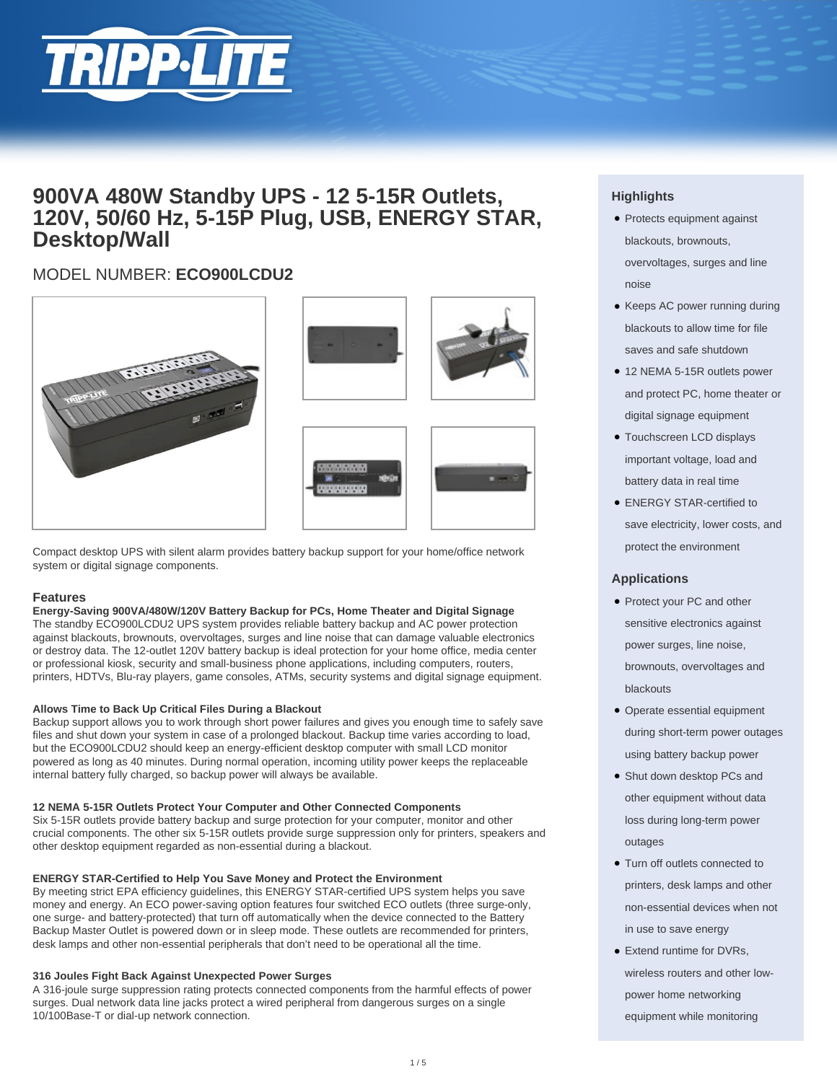

# **900VA 480W Standby UPS - 12 5-15R Outlets, 120V, 50/60 Hz, 5-15P Plug, USB, ENERGY STAR, Desktop/Wall**

# MODEL NUMBER: **ECO900LCDU2**



Compact desktop UPS with silent alarm provides battery backup support for your home/office network system or digital signage components.

# **Features**

### **Energy-Saving 900VA/480W/120V Battery Backup for PCs, Home Theater and Digital Signage**

The standby ECO900LCDU2 UPS system provides reliable battery backup and AC power protection against blackouts, brownouts, overvoltages, surges and line noise that can damage valuable electronics or destroy data. The 12-outlet 120V battery backup is ideal protection for your home office, media center or professional kiosk, security and small-business phone applications, including computers, routers, printers, HDTVs, Blu-ray players, game consoles, ATMs, security systems and digital signage equipment.

# **Allows Time to Back Up Critical Files During a Blackout**

Backup support allows you to work through short power failures and gives you enough time to safely save files and shut down your system in case of a prolonged blackout. Backup time varies according to load, but the ECO900LCDU2 should keep an energy-efficient desktop computer with small LCD monitor powered as long as 40 minutes. During normal operation, incoming utility power keeps the replaceable internal battery fully charged, so backup power will always be available.

### **12 NEMA 5-15R Outlets Protect Your Computer and Other Connected Components**

Six 5-15R outlets provide battery backup and surge protection for your computer, monitor and other crucial components. The other six 5-15R outlets provide surge suppression only for printers, speakers and other desktop equipment regarded as non-essential during a blackout.

### **ENERGY STAR-Certified to Help You Save Money and Protect the Environment**

By meeting strict EPA efficiency guidelines, this ENERGY STAR-certified UPS system helps you save money and energy. An ECO power-saving option features four switched ECO outlets (three surge-only, one surge- and battery-protected) that turn off automatically when the device connected to the Battery Backup Master Outlet is powered down or in sleep mode. These outlets are recommended for printers, desk lamps and other non-essential peripherals that don't need to be operational all the time.

### **316 Joules Fight Back Against Unexpected Power Surges**

A 316-joule surge suppression rating protects connected components from the harmful effects of power surges. Dual network data line jacks protect a wired peripheral from dangerous surges on a single 10/100Base-T or dial-up network connection.

# **Highlights**

- Protects equipment against blackouts, brownouts, overvoltages, surges and line noise
- Keeps AC power running during blackouts to allow time for file saves and safe shutdown
- 12 NEMA 5-15R outlets power and protect PC, home theater or digital signage equipment
- Touchscreen LCD displays important voltage, load and battery data in real time
- ENERGY STAR-certified to save electricity, lower costs, and protect the environment

# **Applications**

- Protect your PC and other sensitive electronics against power surges, line noise, brownouts, overvoltages and blackouts
- Operate essential equipment during short-term power outages using battery backup power
- Shut down desktop PCs and other equipment without data loss during long-term power outages
- Turn off outlets connected to printers, desk lamps and other non-essential devices when not in use to save energy
- Extend runtime for DVRs, wireless routers and other lowpower home networking equipment while monitoring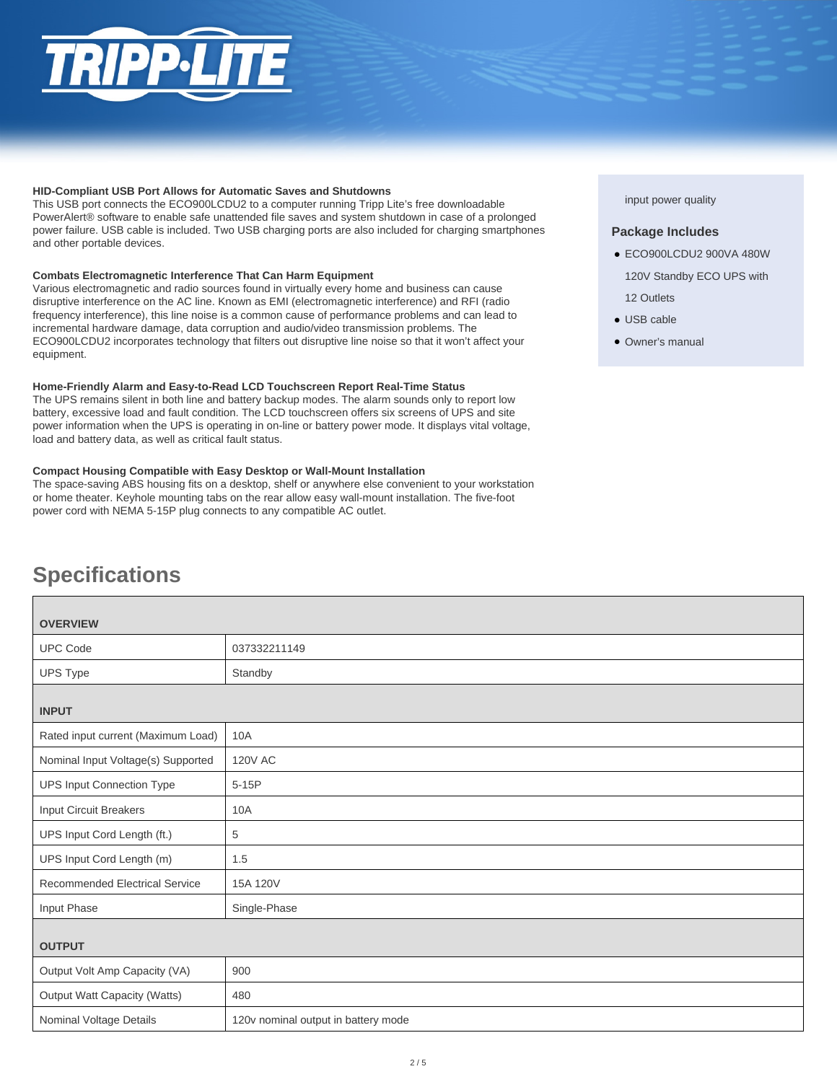## **HID-Compliant USB Port Allows for Automatic Saves and Shutdowns**

This USB port connects the ECO900LCDU2 to a computer running Tripp Lite's free downloadable PowerAlert® software to enable safe unattended file saves and system shutdown in case of a prolonged power failure. USB cable is included. Two USB charging ports are also included for charging smartphones and other portable devices.

# **Combats Electromagnetic Interference That Can Harm Equipment**

Various electromagnetic and radio sources found in virtually every home and business can cause disruptive interference on the AC line. Known as EMI (electromagnetic interference) and RFI (radio frequency interference), this line noise is a common cause of performance problems and can lead to incremental hardware damage, data corruption and audio/video transmission problems. The ECO900LCDU2 incorporates technology that filters out disruptive line noise so that it won't affect your equipment.

# **Home-Friendly Alarm and Easy-to-Read LCD Touchscreen Report Real-Time Status**

The UPS remains silent in both line and battery backup modes. The alarm sounds only to report low battery, excessive load and fault condition. The LCD touchscreen offers six screens of UPS and site power information when the UPS is operating in on-line or battery power mode. It displays vital voltage, load and battery data, as well as critical fault status.

# **Compact Housing Compatible with Easy Desktop or Wall-Mount Installation**

The space-saving ABS housing fits on a desktop, shelf or anywhere else convenient to your workstation or home theater. Keyhole mounting tabs on the rear allow easy wall-mount installation. The five-foot power cord with NEMA 5-15P plug connects to any compatible AC outlet.

# input power quality

# **Package Includes**

- ECO900LCDU2 900VA 480W
- 120V Standby ECO UPS with
- 12 Outlets
- USB cable
- Owner's manual

# **Specifications**

| <b>OVERVIEW</b>                       |                                     |  |
|---------------------------------------|-------------------------------------|--|
| <b>UPC Code</b>                       | 037332211149                        |  |
| <b>UPS Type</b>                       | Standby                             |  |
| <b>INPUT</b>                          |                                     |  |
| Rated input current (Maximum Load)    | 10A                                 |  |
| Nominal Input Voltage(s) Supported    | <b>120V AC</b>                      |  |
| <b>UPS Input Connection Type</b>      | $5-15P$                             |  |
| <b>Input Circuit Breakers</b>         | 10A                                 |  |
| UPS Input Cord Length (ft.)           | 5                                   |  |
| UPS Input Cord Length (m)             | 1.5                                 |  |
| <b>Recommended Electrical Service</b> | 15A 120V                            |  |
| Input Phase                           | Single-Phase                        |  |
| <b>OUTPUT</b>                         |                                     |  |
| Output Volt Amp Capacity (VA)         | 900                                 |  |
| <b>Output Watt Capacity (Watts)</b>   | 480                                 |  |
| Nominal Voltage Details               | 120v nominal output in battery mode |  |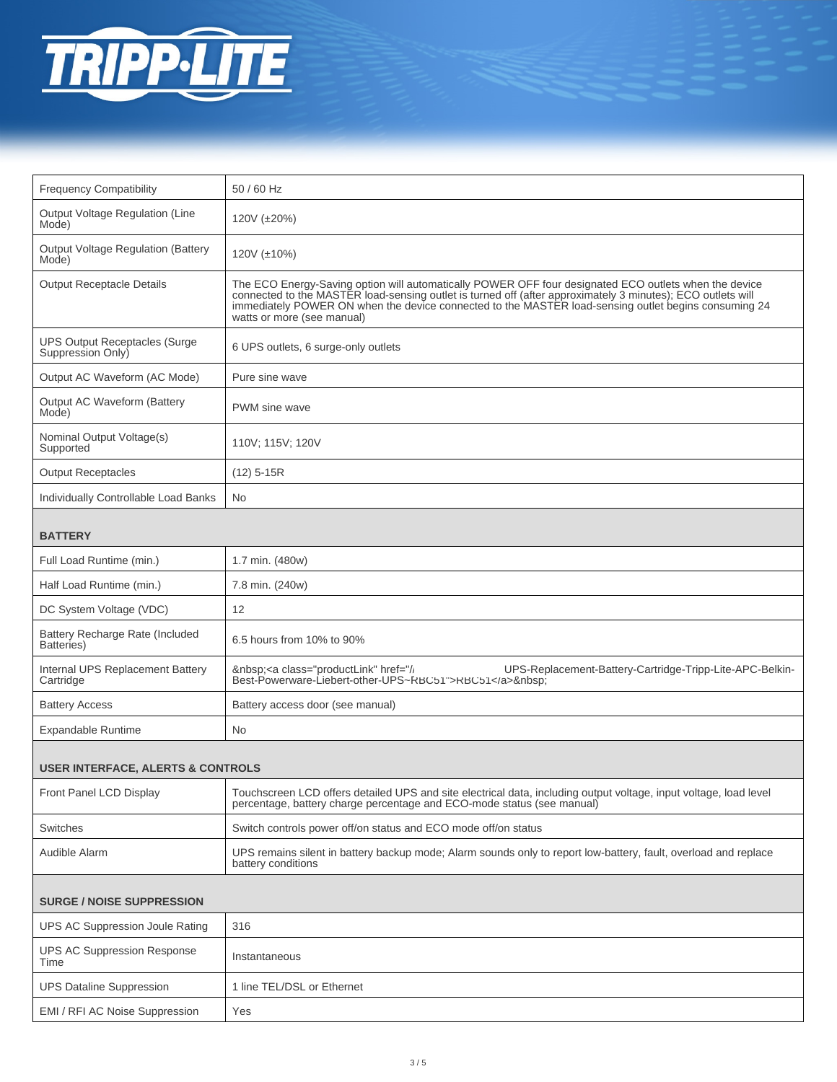

| <b>Frequency Compatibility</b>                            | 50 / 60 Hz                                                                                                                                                                                                                                                                                                                                                 |  |
|-----------------------------------------------------------|------------------------------------------------------------------------------------------------------------------------------------------------------------------------------------------------------------------------------------------------------------------------------------------------------------------------------------------------------------|--|
| Output Voltage Regulation (Line<br>Mode)                  | 120V (±20%)                                                                                                                                                                                                                                                                                                                                                |  |
| <b>Output Voltage Regulation (Battery</b><br>Mode)        | 120V (±10%)                                                                                                                                                                                                                                                                                                                                                |  |
| <b>Output Receptacle Details</b>                          | The ECO Energy-Saving option will automatically POWER OFF four designated ECO outlets when the device<br>connected to the MASTER load-sensing outlet is turned off (after approximately 3 minutes); ECO outlets will<br>immediately POWER ON when the device connected to the MASTER load-sensing outlet begins consuming 24<br>watts or more (see manual) |  |
| <b>UPS Output Receptacles (Surge</b><br>Suppression Only) | 6 UPS outlets, 6 surge-only outlets                                                                                                                                                                                                                                                                                                                        |  |
| Output AC Waveform (AC Mode)                              | Pure sine wave                                                                                                                                                                                                                                                                                                                                             |  |
| Output AC Waveform (Battery<br>Mode)                      | PWM sine wave                                                                                                                                                                                                                                                                                                                                              |  |
| Nominal Output Voltage(s)<br>Supported                    | 110V; 115V; 120V                                                                                                                                                                                                                                                                                                                                           |  |
| <b>Output Receptacles</b>                                 | $(12)$ 5-15R                                                                                                                                                                                                                                                                                                                                               |  |
| Individually Controllable Load Banks                      | No.                                                                                                                                                                                                                                                                                                                                                        |  |
| <b>BATTERY</b>                                            |                                                                                                                                                                                                                                                                                                                                                            |  |
| Full Load Runtime (min.)                                  | 1.7 min. (480w)                                                                                                                                                                                                                                                                                                                                            |  |
| Half Load Runtime (min.)                                  | 7.8 min. (240w)                                                                                                                                                                                                                                                                                                                                            |  |
| DC System Voltage (VDC)                                   | 12                                                                                                                                                                                                                                                                                                                                                         |  |
| Battery Recharge Rate (Included<br>Batteries)             | 6.5 hours from 10% to 90%                                                                                                                                                                                                                                                                                                                                  |  |
| Internal UPS Replacement Battery<br>Cartridge             | UPS-Replacement-Battery-Cartridge-Tripp-Lite-APC-Belkin-<br><a class="productLink" href="// UPS-Rep&lt;br&gt;Best-Powerware-Liebert-other-UPS~RBC51">RBC51</a>                                                                                                                                                                                             |  |
| <b>Battery Access</b>                                     | Battery access door (see manual)                                                                                                                                                                                                                                                                                                                           |  |
| <b>Expandable Runtime</b>                                 | No.                                                                                                                                                                                                                                                                                                                                                        |  |
| <b>USER INTERFACE, ALERTS &amp; CONTROLS</b>              |                                                                                                                                                                                                                                                                                                                                                            |  |
| Front Panel LCD Display                                   | Touchscreen LCD offers detailed UPS and site electrical data, including output voltage, input voltage, load level<br>percentage, battery charge percentage and ECO-mode status (see manual)                                                                                                                                                                |  |
| Switches                                                  | Switch controls power off/on status and ECO mode off/on status                                                                                                                                                                                                                                                                                             |  |
| Audible Alarm                                             | UPS remains silent in battery backup mode; Alarm sounds only to report low-battery, fault, overload and replace<br>battery conditions                                                                                                                                                                                                                      |  |
| <b>SURGE / NOISE SUPPRESSION</b>                          |                                                                                                                                                                                                                                                                                                                                                            |  |
| <b>UPS AC Suppression Joule Rating</b>                    | 316                                                                                                                                                                                                                                                                                                                                                        |  |
| <b>UPS AC Suppression Response</b><br>Time                | Instantaneous                                                                                                                                                                                                                                                                                                                                              |  |
| <b>UPS Dataline Suppression</b>                           | 1 line TEL/DSL or Ethernet                                                                                                                                                                                                                                                                                                                                 |  |
| EMI / RFI AC Noise Suppression                            | Yes                                                                                                                                                                                                                                                                                                                                                        |  |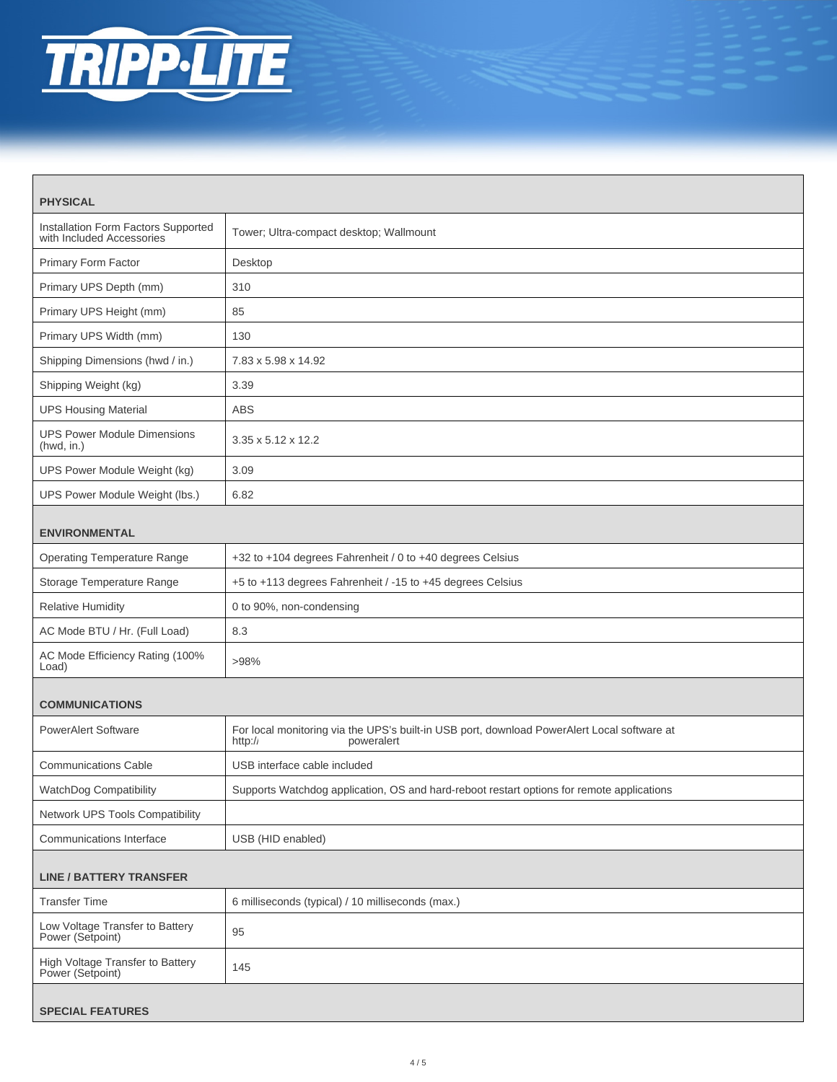

| <b>PHYSICAL</b>                                                  |                                                                                                                      |  |
|------------------------------------------------------------------|----------------------------------------------------------------------------------------------------------------------|--|
| Installation Form Factors Supported<br>with Included Accessories | Tower; Ultra-compact desktop; Wallmount                                                                              |  |
| Primary Form Factor                                              | Desktop                                                                                                              |  |
| Primary UPS Depth (mm)                                           | 310                                                                                                                  |  |
| Primary UPS Height (mm)                                          | 85                                                                                                                   |  |
| Primary UPS Width (mm)                                           | 130                                                                                                                  |  |
| Shipping Dimensions (hwd / in.)                                  | 7.83 x 5.98 x 14.92                                                                                                  |  |
| Shipping Weight (kg)                                             | 3.39                                                                                                                 |  |
| <b>UPS Housing Material</b>                                      | <b>ABS</b>                                                                                                           |  |
| <b>UPS Power Module Dimensions</b><br>(hwd, in.)                 | $3.35 \times 5.12 \times 12.2$                                                                                       |  |
| UPS Power Module Weight (kg)                                     | 3.09                                                                                                                 |  |
| UPS Power Module Weight (lbs.)                                   | 6.82                                                                                                                 |  |
| <b>ENVIRONMENTAL</b>                                             |                                                                                                                      |  |
| <b>Operating Temperature Range</b>                               | +32 to +104 degrees Fahrenheit / 0 to +40 degrees Celsius                                                            |  |
| Storage Temperature Range                                        | +5 to +113 degrees Fahrenheit / -15 to +45 degrees Celsius                                                           |  |
| <b>Relative Humidity</b>                                         | 0 to 90%, non-condensing                                                                                             |  |
| AC Mode BTU / Hr. (Full Load)                                    | 8.3                                                                                                                  |  |
| AC Mode Efficiency Rating (100%<br>Load)                         | >98%                                                                                                                 |  |
| <b>COMMUNICATIONS</b>                                            |                                                                                                                      |  |
| <b>PowerAlert Software</b>                                       | For local monitoring via the UPS's built-in USB port, download PowerAlert Local software at<br>http://<br>poweralert |  |
| <b>Communications Cable</b>                                      | USB interface cable included                                                                                         |  |
| WatchDog Compatibility                                           | Supports Watchdog application, OS and hard-reboot restart options for remote applications                            |  |
| Network UPS Tools Compatibility                                  |                                                                                                                      |  |
| Communications Interface                                         | USB (HID enabled)                                                                                                    |  |
| <b>LINE / BATTERY TRANSFER</b>                                   |                                                                                                                      |  |
| <b>Transfer Time</b>                                             | 6 milliseconds (typical) / 10 milliseconds (max.)                                                                    |  |
| Low Voltage Transfer to Battery<br>Power (Setpoint)              | 95                                                                                                                   |  |
| High Voltage Transfer to Battery<br>Power (Setpoint)             | 145                                                                                                                  |  |
| <b>SPECIAL FEATURES</b>                                          |                                                                                                                      |  |